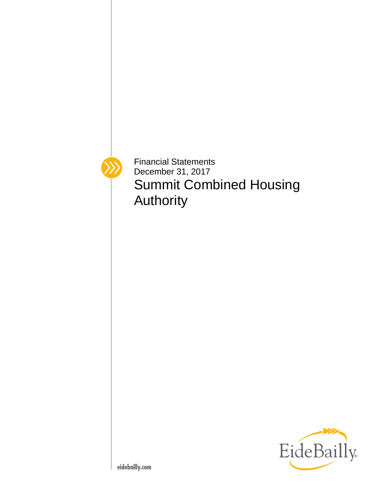

Financial Statements December 31, 2017 Summit Combined Housing Authority

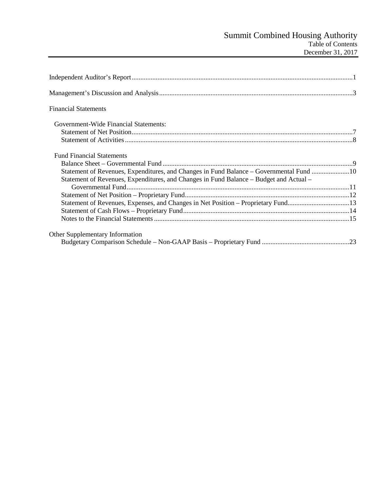| <b>Financial Statements</b>                                                             |  |
|-----------------------------------------------------------------------------------------|--|
| Government-Wide Financial Statements:                                                   |  |
|                                                                                         |  |
|                                                                                         |  |
| <b>Fund Financial Statements</b>                                                        |  |
|                                                                                         |  |
| Statement of Revenues, Expenditures, and Changes in Fund Balance – Governmental Fund 10 |  |
| Statement of Revenues, Expenditures, and Changes in Fund Balance – Budget and Actual –  |  |
|                                                                                         |  |
|                                                                                         |  |
| Statement of Revenues, Expenses, and Changes in Net Position - Proprietary Fund13       |  |
|                                                                                         |  |
|                                                                                         |  |
| <b>Other Supplementary Information</b>                                                  |  |
|                                                                                         |  |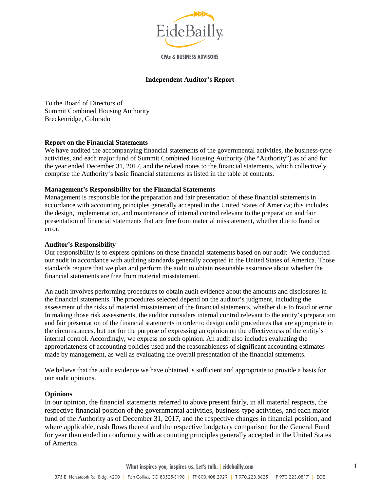

**CPAs & BUSINESS ADVISORS** 

#### **Independent Auditor's Report**

To the Board of Directors of Summit Combined Housing Authority Breckenridge, Colorado

#### **Report on the Financial Statements**

We have audited the accompanying financial statements of the governmental activities, the business-type activities, and each major fund of Summit Combined Housing Authority (the "Authority") as of and for the year ended December 31, 2017, and the related notes to the financial statements, which collectively comprise the Authority's basic financial statements as listed in the table of contents.

#### **Management's Responsibility for the Financial Statements**

Management is responsible for the preparation and fair presentation of these financial statements in accordance with accounting principles generally accepted in the United States of America; this includes the design, implementation, and maintenance of internal control relevant to the preparation and fair presentation of financial statements that are free from material misstatement, whether due to fraud or error.

#### **Auditor's Responsibility**

Our responsibility is to express opinions on these financial statements based on our audit. We conducted our audit in accordance with auditing standards generally accepted in the United States of America. Those standards require that we plan and perform the audit to obtain reasonable assurance about whether the financial statements are free from material misstatement.

An audit involves performing procedures to obtain audit evidence about the amounts and disclosures in the financial statements. The procedures selected depend on the auditor's judgment, including the assessment of the risks of material misstatement of the financial statements, whether due to fraud or error. In making those risk assessments, the auditor considers internal control relevant to the entity's preparation and fair presentation of the financial statements in order to design audit procedures that are appropriate in the circumstances, but not for the purpose of expressing an opinion on the effectiveness of the entity's internal control. Accordingly, we express no such opinion. An audit also includes evaluating the appropriateness of accounting policies used and the reasonableness of significant accounting estimates made by management, as well as evaluating the overall presentation of the financial statements.

We believe that the audit evidence we have obtained is sufficient and appropriate to provide a basis for our audit opinions.

#### **Opinions**

In our opinion, the financial statements referred to above present fairly, in all material respects, the respective financial position of the governmental activities, business-type activities, and each major fund of the Authority as of December 31, 2017, and the respective changes in financial position, and where applicable, cash flows thereof and the respective budgetary comparison for the General Fund for year then ended in conformity with accounting principles generally accepted in the United States of America.

**What inspires you, inspires us. Let's talk. | eidebailly.com**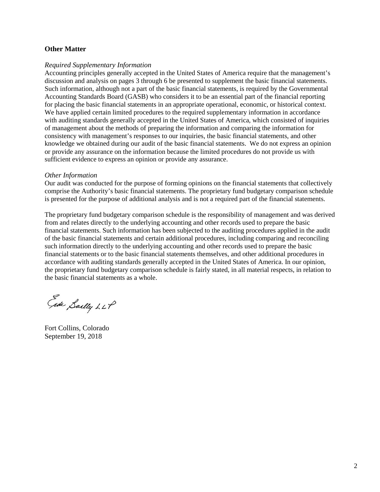#### **Other Matter**

#### *Required Supplementary Information*

Accounting principles generally accepted in the United States of America require that the management's discussion and analysis on pages 3 through 6 be presented to supplement the basic financial statements. Such information, although not a part of the basic financial statements, is required by the Governmental Accounting Standards Board (GASB) who considers it to be an essential part of the financial reporting for placing the basic financial statements in an appropriate operational, economic, or historical context. We have applied certain limited procedures to the required supplementary information in accordance with auditing standards generally accepted in the United States of America, which consisted of inquiries of management about the methods of preparing the information and comparing the information for consistency with management's responses to our inquiries, the basic financial statements, and other knowledge we obtained during our audit of the basic financial statements. We do not express an opinion or provide any assurance on the information because the limited procedures do not provide us with sufficient evidence to express an opinion or provide any assurance.

#### *Other Information*

Our audit was conducted for the purpose of forming opinions on the financial statements that collectively comprise the Authority's basic financial statements. The proprietary fund budgetary comparison schedule is presented for the purpose of additional analysis and is not a required part of the financial statements.

The proprietary fund budgetary comparison schedule is the responsibility of management and was derived from and relates directly to the underlying accounting and other records used to prepare the basic financial statements. Such information has been subjected to the auditing procedures applied in the audit of the basic financial statements and certain additional procedures, including comparing and reconciling such information directly to the underlying accounting and other records used to prepare the basic financial statements or to the basic financial statements themselves, and other additional procedures in accordance with auditing standards generally accepted in the United States of America. In our opinion, the proprietary fund budgetary comparison schedule is fairly stated, in all material respects, in relation to the basic financial statements as a whole.

Ede Sailly LLP

Fort Collins, Colorado September 19, 2018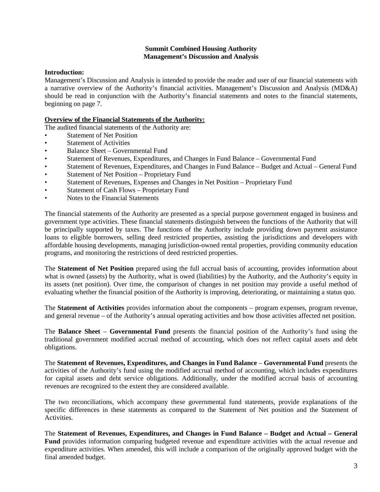# **Summit Combined Housing Authority Management's Discussion and Analysis**

#### **Introduction:**

Management's Discussion and Analysis is intended to provide the reader and user of our financial statements with a narrative overview of the Authority's financial activities. Management's Discussion and Analysis (MD&A) should be read in conjunction with the Authority's financial statements and notes to the financial statements, beginning on page 7.

#### **Overview of the Financial Statements of the Authority:**

The audited financial statements of the Authority are:

- **Statement of Net Position**
- **Statement of Activities**
- Balance Sheet Governmental Fund
- Statement of Revenues, Expenditures, and Changes in Fund Balance Governmental Fund
- Statement of Revenues, Expenditures, and Changes in Fund Balance Budget and Actual General Fund
- Statement of Net Position Proprietary Fund
- Statement of Revenues, Expenses and Changes in Net Position Proprietary Fund
- Statement of Cash Flows Proprietary Fund
- Notes to the Financial Statements

The financial statements of the Authority are presented as a special purpose government engaged in business and government type activities. These financial statements distinguish between the functions of the Authority that will be principally supported by taxes. The functions of the Authority include providing down payment assistance loans to eligible borrowers, selling deed restricted properties, assisting the jurisdictions and developers with affordable housing developments, managing jurisdiction-owned rental properties, providing community education programs, and monitoring the restrictions of deed restricted properties.

The **Statement of Net Position** prepared using the full accrual basis of accounting, provides information about what is owned (assets) by the Authority, what is owed (liabilities) by the Authority, and the Authority's equity in its assets (net position). Over time, the comparison of changes in net position may provide a useful method of evaluating whether the financial position of the Authority is improving, deteriorating, or maintaining a status quo.

The **Statement of Activities** provides information about the components – program expenses, program revenue, and general revenue – of the Authority's annual operating activities and how those activities affected net position.

The **Balance Sheet** – **Governmental Fund** presents the financial position of the Authority's fund using the traditional government modified accrual method of accounting, which does not reflect capital assets and debt obligations.

The **Statement of Revenues, Expenditures, and Changes in Fund Balance** – **Governmental Fund** presents the activities of the Authority's fund using the modified accrual method of accounting, which includes expenditures for capital assets and debt service obligations. Additionally, under the modified accrual basis of accounting revenues are recognized to the extent they are considered available.

The two reconciliations, which accompany these governmental fund statements, provide explanations of the specific differences in these statements as compared to the Statement of Net position and the Statement of Activities.

The **Statement of Revenues, Expenditures, and Changes in Fund Balance – Budget and Actual – General Fund** provides information comparing budgeted revenue and expenditure activities with the actual revenue and expenditure activities. When amended, this will include a comparison of the originally approved budget with the final amended budget.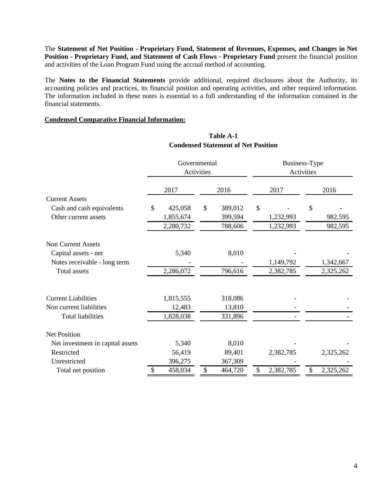The **Statement of Net Position - Proprietary Fund, Statement of Revenues, Expenses, and Changes in Net Position - Proprietary Fund, and Statement of Cash Flows - Proprietary Fund** present the financial position and activities of the Loan Program Fund using the accrual method of accounting.

The **Notes to the Financial Statements** provide additional, required disclosures about the Authority, its accounting policies and practices, its financial position and operating activities, and other required information. The information included in these notes is essential to a full understanding of the information contained in the financial statements.

# **Condensed Comparative Financial Information:**

|                                  | Governmental<br>Activities |    |         | Business-Type<br>Activities |    |           |
|----------------------------------|----------------------------|----|---------|-----------------------------|----|-----------|
|                                  | 2017                       |    | 2016    | 2017                        |    | 2016      |
| <b>Current Assets</b>            |                            |    |         |                             |    |           |
| Cash and cash equivalents        | \$<br>425,058              | \$ | 389,012 | \$                          | \$ |           |
| Other current assets             | 1,855,674                  |    | 399,594 | 1,232,993                   |    | 982,595   |
|                                  | 2,280,732                  |    | 788,606 | 1,232,993                   |    | 982,595   |
| <b>Non Current Assets</b>        |                            |    |         |                             |    |           |
| Capital assets - net             | 5,340                      |    | 8,010   |                             |    |           |
| Notes receivable - long term     |                            |    |         | 1,149,792                   |    | 1,342,667 |
| Total assets                     | 2,286,072                  |    | 796,616 | 2,382,785                   |    | 2,325,262 |
| <b>Current Liabilities</b>       | 1,815,555                  |    | 318,086 |                             |    |           |
| Non current liabilities          | 12,483                     |    | 13,810  |                             |    |           |
| <b>Total liabilities</b>         | 1,828,038                  |    | 331,896 |                             |    |           |
| <b>Net Position</b>              |                            |    |         |                             |    |           |
| Net investment in capital assets | 5,340                      |    | 8,010   |                             |    |           |
| Restricted                       | 56,419                     |    | 89,401  | 2,382,785                   |    | 2,325,262 |
| Unrestricted                     | 396,275                    |    | 367,309 |                             |    |           |
| Total net position               | \$<br>458,034              | \$ | 464,720 | \$<br>2,382,785             | \$ | 2,325,262 |

# **Condensed Statement of Net Position Table A-1**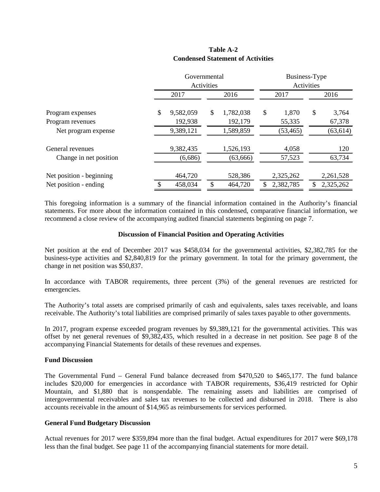# 2017 2016 2017 2016 Program expenses \$ 9,582,059 \$ 1,782,038 \$ 1,870 \$ 3,764 Program revenues 192,938 192,179 55,335 67,378 Net program expense  $9,389,121$   $1,589,859$   $(53,465)$   $(63,614)$ General revenues 8,382,435 1,526,193 4,058 120 Change in net position (6,686) (63,666) 57,523 63,734 Net position - beginning  $464,720$   $528,386$   $2,325,262$   $2,261,528$ Net position - ending  $$ 458,034 $ 464,720 $ 2,382,785 $ 2,325,262$ Governmental Business-Type Activities Activities

# **Table A-2 Condensed Statement of Activities**

This foregoing information is a summary of the financial information contained in the Authority's financial statements. For more about the information contained in this condensed, comparative financial information, we recommend a close review of the accompanying audited financial statements beginning on page 7.

# **Discussion of Financial Position and Operating Activities**

Net position at the end of December 2017 was \$458,034 for the governmental activities, \$2,382,785 for the business-type activities and \$2,840,819 for the primary government. In total for the primary government, the change in net position was \$50,837.

In accordance with TABOR requirements, three percent (3%) of the general revenues are restricted for emergencies.

The Authority's total assets are comprised primarily of cash and equivalents, sales taxes receivable, and loans receivable. The Authority's total liabilities are comprised primarily of sales taxes payable to other governments.

In 2017, program expense exceeded program revenues by \$9,389,121 for the governmental activities. This was offset by net general revenues of \$9,382,435, which resulted in a decrease in net position. See page 8 of the accompanying Financial Statements for details of these revenues and expenses.

#### **Fund Discussion**

The Governmental Fund – General Fund balance decreased from \$470,520 to \$465,177. The fund balance includes \$20,000 for emergencies in accordance with TABOR requirements, \$36,419 restricted for Ophir Mountain, and \$1,880 that is nonspendable. The remaining assets and liabilities are comprised of intergovernmental receivables and sales tax revenues to be collected and disbursed in 2018. There is also accounts receivable in the amount of \$14,965 as reimbursements for services performed.

#### **General Fund Budgetary Discussion**

Actual revenues for 2017 were \$359,894 more than the final budget. Actual expenditures for 2017 were \$69,178 less than the final budget. See page 11 of the accompanying financial statements for more detail.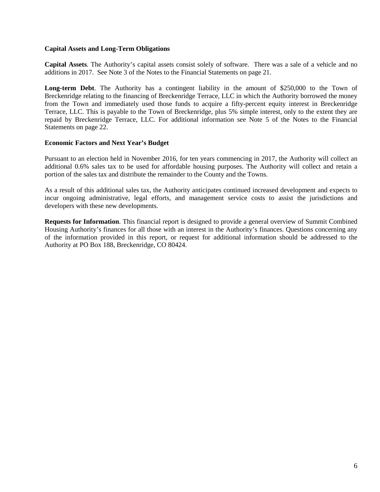#### **Capital Assets and Long-Term Obligations**

**Capital Assets**. The Authority's capital assets consist solely of software. There was a sale of a vehicle and no additions in 2017. See Note 3 of the Notes to the Financial Statements on page 21.

**Long-term Debt**. The Authority has a contingent liability in the amount of \$250,000 to the Town of Breckenridge relating to the financing of Breckenridge Terrace, LLC in which the Authority borrowed the money from the Town and immediately used those funds to acquire a fifty-percent equity interest in Breckenridge Terrace, LLC. This is payable to the Town of Breckenridge, plus 5% simple interest, only to the extent they are repaid by Breckenridge Terrace, LLC. For additional information see Note 5 of the Notes to the Financial Statements on page 22.

#### **Economic Factors and Next Year's Budget**

Pursuant to an election held in November 2016, for ten years commencing in 2017, the Authority will collect an additional 0.6% sales tax to be used for affordable housing purposes. The Authority will collect and retain a portion of the sales tax and distribute the remainder to the County and the Towns.

As a result of this additional sales tax, the Authority anticipates continued increased development and expects to incur ongoing administrative, legal efforts, and management service costs to assist the jurisdictions and developers with these new developments.

**Requests for Information**. This financial report is designed to provide a general overview of Summit Combined Housing Authority's finances for all those with an interest in the Authority's finances. Questions concerning any of the information provided in this report, or request for additional information should be addressed to the Authority at PO Box 188, Breckenridge, CO 80424.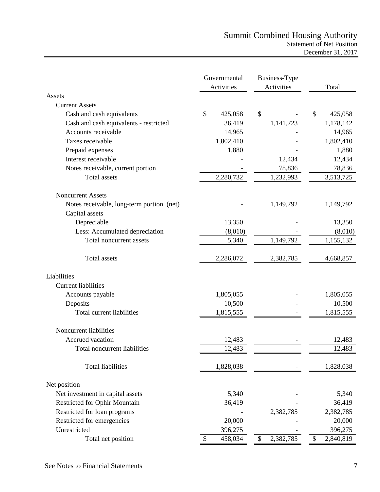# Summit Combined Housing Authority Statement of Net Position December 31, 2017

|                                           | Business-Type<br>Governmental<br>Activities<br>Activities |                            | Total           |
|-------------------------------------------|-----------------------------------------------------------|----------------------------|-----------------|
| Assets                                    |                                                           |                            |                 |
| <b>Current Assets</b>                     |                                                           |                            |                 |
| Cash and cash equivalents                 | \$<br>425,058                                             | \$                         | \$<br>425,058   |
| Cash and cash equivalents - restricted    | 36,419                                                    | 1,141,723                  | 1,178,142       |
| Accounts receivable                       | 14,965                                                    |                            | 14,965          |
| Taxes receivable                          | 1,802,410                                                 |                            | 1,802,410       |
| Prepaid expenses                          | 1,880                                                     |                            | 1,880           |
| Interest receivable                       |                                                           | 12,434                     | 12,434          |
| Notes receivable, current portion         |                                                           | 78,836                     | 78,836          |
| <b>Total assets</b>                       | 2,280,732                                                 | 1,232,993                  | 3,513,725       |
| <b>Noncurrent Assets</b>                  |                                                           |                            |                 |
| Notes receivable, long-term portion (net) |                                                           | 1,149,792                  | 1,149,792       |
| Capital assets                            |                                                           |                            |                 |
| Depreciable                               | 13,350                                                    |                            | 13,350          |
| Less: Accumulated depreciation            | (8,010)                                                   |                            | (8,010)         |
| Total noncurrent assets                   | 5,340                                                     | 1,149,792                  | 1,155,132       |
| Total assets                              | 2,286,072                                                 | 2,382,785                  | 4,668,857       |
| Liabilities                               |                                                           |                            |                 |
| <b>Current liabilities</b>                |                                                           |                            |                 |
| Accounts payable                          | 1,805,055                                                 |                            | 1,805,055       |
| Deposits                                  | 10,500                                                    |                            | 10,500          |
| Total current liabilities                 | 1,815,555                                                 |                            | 1,815,555       |
| Noncurrent liabilities                    |                                                           |                            |                 |
| Accrued vacation                          | 12,483                                                    |                            | 12,483          |
| Total noncurrent liabilities              | 12,483                                                    |                            | 12,483          |
| <b>Total liabilities</b>                  | 1,828,038                                                 |                            | 1,828,038       |
| Net position                              |                                                           |                            |                 |
| Net investment in capital assets          | 5,340                                                     |                            | 5,340           |
| Restricted for Ophir Mountain             | 36,419                                                    |                            | 36,419          |
| Restricted for loan programs              |                                                           | 2,382,785                  | 2,382,785       |
| Restricted for emergencies                | 20,000                                                    |                            | 20,000          |
| Unrestricted                              | 396,275                                                   |                            | 396,275         |
| Total net position                        | 458,034<br>$\mathcal{S}$                                  | $\mathcal{S}$<br>2,382,785 | \$<br>2,840,819 |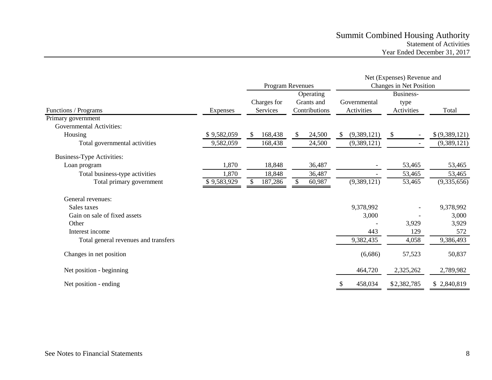# Summit Combined Housing Authority Statement of Activities Year Ended December 31, 2017

|                                      |                 |               |                         | Net (Expenses) Revenue and |                         |               |  |  |
|--------------------------------------|-----------------|---------------|-------------------------|----------------------------|-------------------------|---------------|--|--|
|                                      |                 |               | <b>Program Revenues</b> |                            | Changes in Net Position |               |  |  |
|                                      |                 | Operating     |                         |                            |                         |               |  |  |
|                                      |                 | Charges for   | Grants and              | Governmental               | type                    |               |  |  |
| Functions / Programs                 | <b>Expenses</b> | Services      | Contributions           | Activities                 | Activities              | Total         |  |  |
| Primary government                   |                 |               |                         |                            |                         |               |  |  |
| <b>Governmental Activities:</b>      |                 |               |                         |                            |                         |               |  |  |
| Housing                              | \$9,582,059     | 168,438<br>S. | 24,500<br><sup>\$</sup> | (9,389,121)<br>\$.         | \$.                     | \$(9,389,121) |  |  |
| Total governmental activities        | 9,582,059       | 168,438       | 24,500                  | (9,389,121)                |                         | (9,389,121)   |  |  |
| <b>Business-Type Activities:</b>     |                 |               |                         |                            |                         |               |  |  |
| Loan program                         | 1,870           | 18,848        | 36,487                  |                            | 53,465                  | 53,465        |  |  |
| Total business-type activities       | 1,870           | 18,848        | 36,487                  |                            | 53,465                  | 53,465        |  |  |
| Total primary government             | \$9,583,929     | 187,286       | 60,987<br>\$            | (9,389,121)                | 53,465                  | (9,335,656)   |  |  |
| General revenues:                    |                 |               |                         |                            |                         |               |  |  |
| Sales taxes                          |                 |               |                         | 9,378,992                  |                         | 9,378,992     |  |  |
| Gain on sale of fixed assets         |                 |               |                         | 3,000                      |                         | 3,000         |  |  |
| Other                                |                 |               |                         |                            | 3,929                   | 3,929         |  |  |
| Interest income                      |                 |               |                         | 443                        | 129                     | 572           |  |  |
| Total general revenues and transfers |                 |               |                         | 9,382,435                  | 4,058                   | 9,386,493     |  |  |
| Changes in net position              |                 |               |                         | (6,686)                    | 57,523                  | 50,837        |  |  |
| Net position - beginning             |                 |               |                         | 464,720                    | 2,325,262               | 2,789,982     |  |  |
| Net position - ending                |                 |               |                         | 458,034                    | \$2,382,785             | \$2,840,819   |  |  |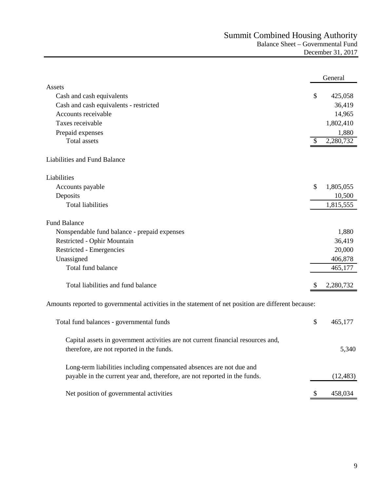|                                                                                                                                                    |      | General   |
|----------------------------------------------------------------------------------------------------------------------------------------------------|------|-----------|
| Assets                                                                                                                                             |      |           |
| Cash and cash equivalents                                                                                                                          | \$   | 425,058   |
| Cash and cash equivalents - restricted                                                                                                             |      | 36,419    |
| Accounts receivable                                                                                                                                |      | 14,965    |
| Taxes receivable                                                                                                                                   |      | 1,802,410 |
| Prepaid expenses                                                                                                                                   |      | 1,880     |
| Total assets                                                                                                                                       | \$   | 2,280,732 |
| Liabilities and Fund Balance                                                                                                                       |      |           |
| Liabilities                                                                                                                                        |      |           |
| Accounts payable                                                                                                                                   | \$   | 1,805,055 |
| Deposits                                                                                                                                           |      | 10,500    |
| <b>Total liabilities</b>                                                                                                                           |      | 1,815,555 |
| <b>Fund Balance</b>                                                                                                                                |      |           |
| Nonspendable fund balance - prepaid expenses                                                                                                       |      | 1,880     |
| Restricted - Ophir Mountain                                                                                                                        |      | 36,419    |
| Restricted - Emergencies                                                                                                                           |      | 20,000    |
| Unassigned                                                                                                                                         |      | 406,878   |
| Total fund balance                                                                                                                                 |      | 465,177   |
| Total liabilities and fund balance                                                                                                                 | \$   | 2,280,732 |
| Amounts reported to governmental activities in the statement of net position are different because:                                                |      |           |
| Total fund balances - governmental funds                                                                                                           | \$   | 465,177   |
| Capital assets in government activities are not current financial resources and,<br>therefore, are not reported in the funds.                      |      | 5,340     |
| Long-term liabilities including compensated absences are not due and<br>payable in the current year and, therefore, are not reported in the funds. |      | (12, 483) |
| Net position of governmental activities                                                                                                            | $\$$ | 458,034   |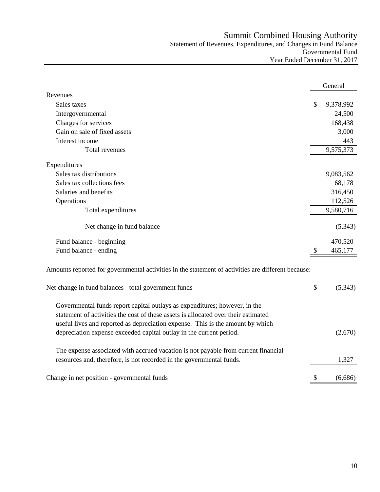Statement of Revenues, Expenditures, and Changes in Fund Balance Governmental Fund Year Ended December 31, 2017

|                                                                                                                                                                  |    | General   |
|------------------------------------------------------------------------------------------------------------------------------------------------------------------|----|-----------|
| Revenues                                                                                                                                                         |    |           |
| Sales taxes                                                                                                                                                      | \$ | 9,378,992 |
| Intergovernmental                                                                                                                                                |    | 24,500    |
| Charges for services                                                                                                                                             |    | 168,438   |
| Gain on sale of fixed assets                                                                                                                                     |    | 3,000     |
| Interest income                                                                                                                                                  |    | 443       |
| Total revenues                                                                                                                                                   |    | 9,575,373 |
| Expenditures                                                                                                                                                     |    |           |
| Sales tax distributions                                                                                                                                          |    | 9,083,562 |
| Sales tax collections fees                                                                                                                                       |    | 68,178    |
| Salaries and benefits                                                                                                                                            |    | 316,450   |
| Operations                                                                                                                                                       |    | 112,526   |
| Total expenditures                                                                                                                                               |    | 9,580,716 |
| Net change in fund balance                                                                                                                                       |    | (5,343)   |
| Fund balance - beginning                                                                                                                                         |    | 470,520   |
| Fund balance - ending                                                                                                                                            | \$ | 465,177   |
| Amounts reported for governmental activities in the statement of activities are different because:                                                               |    |           |
| Net change in fund balances - total government funds                                                                                                             | \$ | (5,343)   |
| Governmental funds report capital outlays as expenditures; however, in the<br>statement of activities the cost of these assets is allocated over their estimated |    |           |
| useful lives and reported as depreciation expense. This is the amount by which                                                                                   |    |           |
| depreciation expense exceeded capital outlay in the current period.                                                                                              |    | (2,670)   |
| The expense associated with accrued vacation is not payable from current financial                                                                               |    |           |
| resources and, therefore, is not recorded in the governmental funds.                                                                                             |    | 1,327     |
| Change in net position - governmental funds                                                                                                                      | S  | (6,686)   |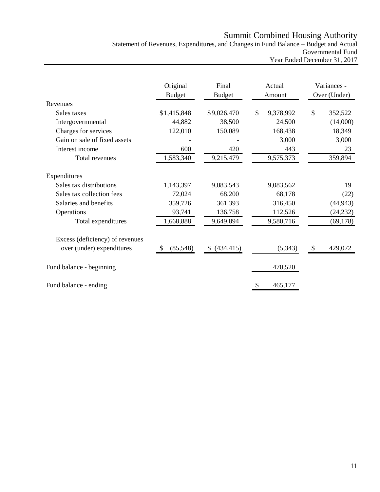Statement of Revenues, Expenditures, and Changes in Fund Balance – Budget and Actual

Governmental Fund

Year Ended December 31, 2017

|                                 | Original<br><b>Budget</b> | Final<br><b>Budget</b> | Actual<br>Amount | Variances -<br>Over (Under) |
|---------------------------------|---------------------------|------------------------|------------------|-----------------------------|
| Revenues                        |                           |                        |                  |                             |
| Sales taxes                     | \$1,415,848               | \$9,026,470            | \$<br>9,378,992  | \$<br>352,522               |
| Intergovernmental               | 44,882                    | 38,500                 | 24,500           | (14,000)                    |
| Charges for services            | 122,010                   | 150,089                | 168,438          | 18,349                      |
| Gain on sale of fixed assets    |                           |                        | 3,000            | 3,000                       |
| Interest income                 | 600                       | 420                    | 443              | 23                          |
| Total revenues                  | 1,583,340                 | 9,215,479              | 9,575,373        | 359,894                     |
| Expenditures                    |                           |                        |                  |                             |
| Sales tax distributions         | 1,143,397                 | 9,083,543              | 9,083,562        | 19                          |
| Sales tax collection fees       | 72,024                    | 68,200                 | 68,178           | (22)                        |
| Salaries and benefits           | 359,726                   | 361,393                | 316,450          | (44, 943)                   |
| Operations                      | 93,741                    | 136,758                | 112,526          | (24, 232)                   |
| Total expenditures              | 1,668,888                 | 9,649,894              | 9,580,716        | (69, 178)                   |
| Excess (deficiency) of revenues |                           |                        |                  |                             |
| over (under) expenditures       | (85,548)                  | \$ (434, 415)          | (5,343)          | \$<br>429,072               |
| Fund balance - beginning        |                           |                        | 470,520          |                             |
| Fund balance - ending           |                           |                        | 465,177          |                             |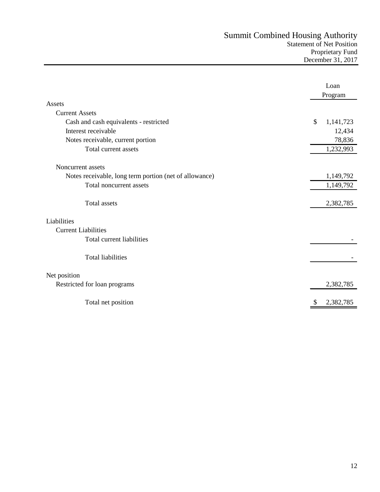|                                                        | Loan<br>Program |           |
|--------------------------------------------------------|-----------------|-----------|
| Assets                                                 |                 |           |
| <b>Current Assets</b>                                  |                 |           |
| Cash and cash equivalents - restricted                 | $\mathcal{S}$   | 1,141,723 |
| Interest receivable                                    |                 | 12,434    |
| Notes receivable, current portion                      |                 | 78,836    |
| Total current assets                                   |                 | 1,232,993 |
| Noncurrent assets                                      |                 |           |
| Notes receivable, long term portion (net of allowance) |                 | 1,149,792 |
| Total noncurrent assets                                |                 | 1,149,792 |
| <b>Total assets</b>                                    |                 | 2,382,785 |
| Liabilities                                            |                 |           |
| <b>Current Liabilities</b>                             |                 |           |
| Total current liabilities                              |                 |           |
| <b>Total liabilities</b>                               |                 |           |
| Net position                                           |                 |           |
| Restricted for loan programs                           |                 | 2,382,785 |
| Total net position                                     |                 | 2,382,785 |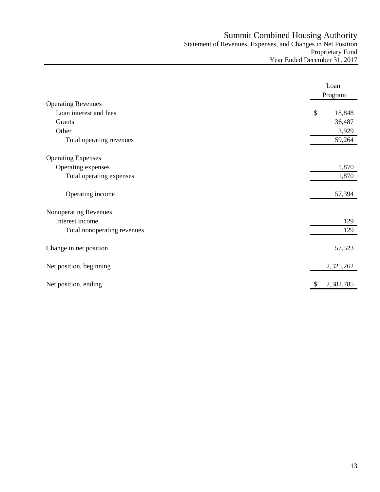Statement of Revenues, Expenses, and Changes in Net Position Proprietary Fund Year Ended December 31, 2017

|                             | Loan<br>Program |
|-----------------------------|-----------------|
| <b>Operating Revenues</b>   |                 |
| Loan interest and fees      | \$<br>18,848    |
| Grants                      | 36,487          |
| Other                       | 3,929           |
| Total operating revenues    | 59,264          |
| <b>Operating Expenses</b>   |                 |
| Operating expenses          | 1,870           |
| Total operating expenses    | 1,870           |
| Operating income            | 57,394          |
| Nonoperating Revenues       |                 |
| Interest income             | 129             |
| Total nonoperating revenues | 129             |
| Change in net position      | 57,523          |
| Net position, beginning     | 2,325,262       |
| Net position, ending        | 2,382,785<br>\$ |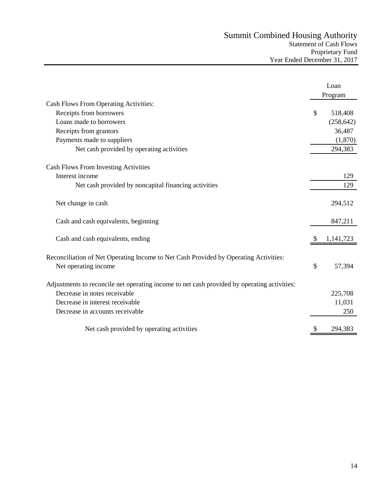|                                                                                                              |               | Loan       |
|--------------------------------------------------------------------------------------------------------------|---------------|------------|
|                                                                                                              |               | Program    |
| Cash Flows From Operating Activities:                                                                        |               |            |
| Receipts from borrowers                                                                                      | \$            | 518,408    |
| Loans made to borrowers                                                                                      |               | (258, 642) |
| Receipts from grantors                                                                                       |               | 36,487     |
| Payments made to suppliers                                                                                   |               | (1,870)    |
| Net cash provided by operating activities                                                                    |               | 294,383    |
| Cash Flows From Investing Activities                                                                         |               |            |
| Interest income                                                                                              |               | 129        |
| Net cash provided by noncapital financing activities                                                         |               | 129        |
| Net change in cash                                                                                           |               | 294,512    |
| Cash and cash equivalents, beginning                                                                         |               | 847,211    |
| Cash and cash equivalents, ending                                                                            | Ж,            | 1,141,723  |
| Reconciliation of Net Operating Income to Net Cash Provided by Operating Activities:<br>Net operating income | $\mathcal{S}$ | 57,394     |
| Adjustments to reconcile net operating income to net cash provided by operating activities:                  |               |            |
| Decrease in notes receivable                                                                                 |               | 225,708    |
| Decrease in interest receivable                                                                              |               | 11,031     |
| Decrease in accounts receivable                                                                              |               | 250        |
| Net cash provided by operating activities                                                                    | S             | 294,383    |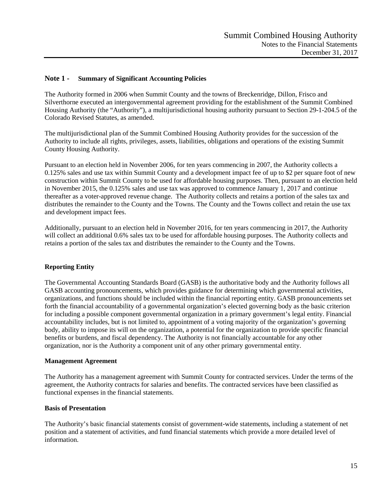# **Note 1 - Summary of Significant Accounting Policies**

The Authority formed in 2006 when Summit County and the towns of Breckenridge, Dillon, Frisco and Silverthorne executed an intergovernmental agreement providing for the establishment of the Summit Combined Housing Authority (the "Authority"), a multijurisdictional housing authority pursuant to Section 29-1-204.5 of the Colorado Revised Statutes, as amended.

The multijurisdictional plan of the Summit Combined Housing Authority provides for the succession of the Authority to include all rights, privileges, assets, liabilities, obligations and operations of the existing Summit County Housing Authority.

Pursuant to an election held in November 2006, for ten years commencing in 2007, the Authority collects a 0.125% sales and use tax within Summit County and a development impact fee of up to \$2 per square foot of new construction within Summit County to be used for affordable housing purposes. Then, pursuant to an election held in November 2015, the 0.125% sales and use tax was approved to commence January 1, 2017 and continue thereafter as a voter-approved revenue change. The Authority collects and retains a portion of the sales tax and distributes the remainder to the County and the Towns. The County and the Towns collect and retain the use tax and development impact fees.

Additionally, pursuant to an election held in November 2016, for ten years commencing in 2017, the Authority will collect an additional 0.6% sales tax to be used for affordable housing purposes. The Authority collects and retains a portion of the sales tax and distributes the remainder to the County and the Towns.

# **Reporting Entity**

The Governmental Accounting Standards Board (GASB) is the authoritative body and the Authority follows all GASB accounting pronouncements, which provides guidance for determining which governmental activities, organizations, and functions should be included within the financial reporting entity. GASB pronouncements set forth the financial accountability of a governmental organization's elected governing body as the basic criterion for including a possible component governmental organization in a primary government's legal entity. Financial accountability includes, but is not limited to, appointment of a voting majority of the organization's governing body, ability to impose its will on the organization, a potential for the organization to provide specific financial benefits or burdens, and fiscal dependency. The Authority is not financially accountable for any other organization, nor is the Authority a component unit of any other primary governmental entity.

#### **Management Agreement**

The Authority has a management agreement with Summit County for contracted services. Under the terms of the agreement, the Authority contracts for salaries and benefits. The contracted services have been classified as functional expenses in the financial statements.

#### **Basis of Presentation**

The Authority's basic financial statements consist of government-wide statements, including a statement of net position and a statement of activities, and fund financial statements which provide a more detailed level of information.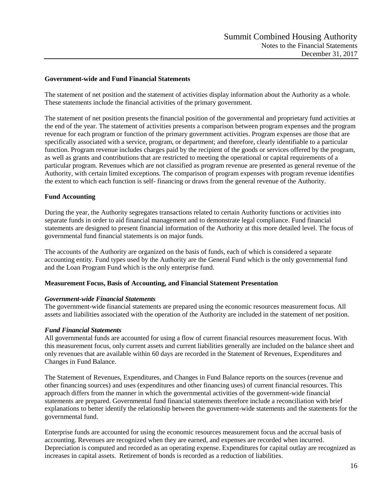#### **Government-wide and Fund Financial Statements**

The statement of net position and the statement of activities display information about the Authority as a whole. These statements include the financial activities of the primary government.

The statement of net position presents the financial position of the governmental and proprietary fund activities at the end of the year. The statement of activities presents a comparison between program expenses and the program revenue for each program or function of the primary government activities. Program expenses are those that are specifically associated with a service, program, or department; and therefore, clearly identifiable to a particular function. Program revenue includes charges paid by the recipient of the goods or services offered by the program, as well as grants and contributions that are restricted to meeting the operational or capital requirements of a particular program. Revenues which are not classified as program revenue are presented as general revenue of the Authority, with certain limited exceptions. The comparison of program expenses with program revenue identifies the extent to which each function is self- financing or draws from the general revenue of the Authority.

#### **Fund Accounting**

During the year, the Authority segregates transactions related to certain Authority functions or activities into separate funds in order to aid financial management and to demonstrate legal compliance. Fund financial statements are designed to present financial information of the Authority at this more detailed level. The focus of governmental fund financial statements is on major funds.

The accounts of the Authority are organized on the basis of funds, each of which is considered a separate accounting entity. Fund types used by the Authority are the General Fund which is the only governmental fund and the Loan Program Fund which is the only enterprise fund.

#### **Measurement Focus, Basis of Accounting, and Financial Statement Presentation**

#### *Government-wide Financial Statements*

The government-wide financial statements are prepared using the economic resources measurement focus. All assets and liabilities associated with the operation of the Authority are included in the statement of net position.

#### *Fund Financial Statements*

All governmental funds are accounted for using a flow of current financial resources measurement focus. With this measurement focus, only current assets and current liabilities generally are included on the balance sheet and only revenues that are available within 60 days are recorded in the Statement of Revenues, Expenditures and Changes in Fund Balance.

The Statement of Revenues, Expenditures, and Changes in Fund Balance reports on the sources (revenue and other financing sources) and uses (expenditures and other financing uses) of current financial resources. This approach differs from the manner in which the governmental activities of the government-wide financial statements are prepared. Governmental fund financial statements therefore include a reconciliation with brief explanations to better identify the relationship between the government-wide statements and the statements for the governmental fund.

Enterprise funds are accounted for using the economic resources measurement focus and the accrual basis of accounting. Revenues are recognized when they are earned, and expenses are recorded when incurred. Depreciation is computed and recorded as an operating expense. Expenditures for capital outlay are recognized as increases in capital assets. Retirement of bonds is recorded as a reduction of liabilities.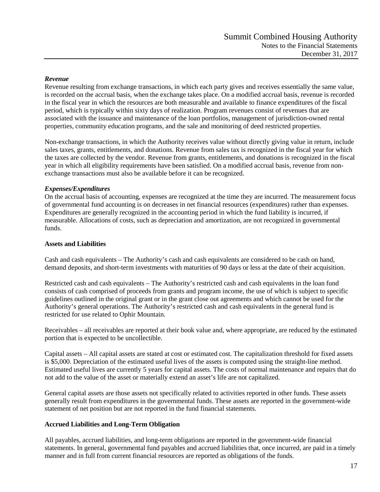#### *Revenue*

Revenue resulting from exchange transactions, in which each party gives and receives essentially the same value, is recorded on the accrual basis, when the exchange takes place. On a modified accrual basis, revenue is recorded in the fiscal year in which the resources are both measurable and available to finance expenditures of the fiscal period, which is typically within sixty days of realization. Program revenues consist of revenues that are associated with the issuance and maintenance of the loan portfolios, management of jurisdiction-owned rental properties, community education programs, and the sale and monitoring of deed restricted properties.

Non-exchange transactions, in which the Authority receives value without directly giving value in return, include sales taxes, grants, entitlements, and donations. Revenue from sales tax is recognized in the fiscal year for which the taxes are collected by the vendor. Revenue from grants, entitlements, and donations is recognized in the fiscal year in which all eligibility requirements have been satisfied. On a modified accrual basis, revenue from nonexchange transactions must also be available before it can be recognized.

#### *Expenses/Expenditures*

On the accrual basis of accounting, expenses are recognized at the time they are incurred. The measurement focus of governmental fund accounting is on decreases in net financial resources (expenditures) rather than expenses. Expenditures are generally recognized in the accounting period in which the fund liability is incurred, if measurable. Allocations of costs, such as depreciation and amortization, are not recognized in governmental funds.

#### **Assets and Liabilities**

Cash and cash equivalents – The Authority's cash and cash equivalents are considered to be cash on hand, demand deposits, and short-term investments with maturities of 90 days or less at the date of their acquisition.

Restricted cash and cash equivalents – The Authority's restricted cash and cash equivalents in the loan fund consists of cash comprised of proceeds from grants and program income, the use of which is subject to specific guidelines outlined in the original grant or in the grant close out agreements and which cannot be used for the Authority's general operations. The Authority's restricted cash and cash equivalents in the general fund is restricted for use related to Ophir Mountain.

Receivables – all receivables are reported at their book value and, where appropriate, are reduced by the estimated portion that is expected to be uncollectible.

Capital assets – All capital assets are stated at cost or estimated cost. The capitalization threshold for fixed assets is \$5,000. Depreciation of the estimated useful lives of the assets is computed using the straight-line method. Estimated useful lives are currently 5 years for capital assets. The costs of normal maintenance and repairs that do not add to the value of the asset or materially extend an asset's life are not capitalized.

General capital assets are those assets not specifically related to activities reported in other funds. These assets generally result from expenditures in the governmental funds. These assets are reported in the government-wide statement of net position but are not reported in the fund financial statements.

#### **Accrued Liabilities and Long-Term Obligation**

All payables, accrued liabilities, and long-term obligations are reported in the government-wide financial statements. In general, governmental fund payables and accrued liabilities that, once incurred, are paid in a timely manner and in full from current financial resources are reported as obligations of the funds.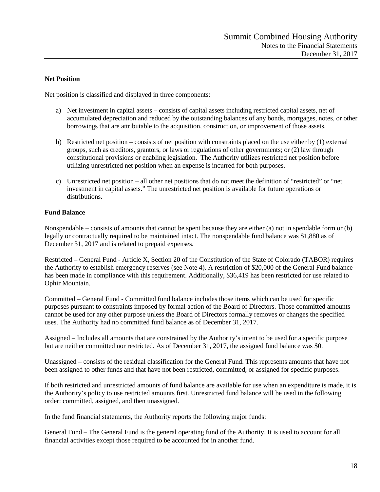# **Net Position**

Net position is classified and displayed in three components:

- a) Net investment in capital assets consists of capital assets including restricted capital assets, net of accumulated depreciation and reduced by the outstanding balances of any bonds, mortgages, notes, or other borrowings that are attributable to the acquisition, construction, or improvement of those assets.
- b) Restricted net position consists of net position with constraints placed on the use either by (1) external groups, such as creditors, grantors, or laws or regulations of other governments; or (2) law through constitutional provisions or enabling legislation. The Authority utilizes restricted net position before utilizing unrestricted net position when an expense is incurred for both purposes.
- c) Unrestricted net position all other net positions that do not meet the definition of "restricted" or "net investment in capital assets." The unrestricted net position is available for future operations or distributions.

#### **Fund Balance**

Nonspendable – consists of amounts that cannot be spent because they are either (a) not in spendable form or (b) legally or contractually required to be maintained intact. The nonspendable fund balance was \$1,880 as of December 31, 2017 and is related to prepaid expenses.

Restricted – General Fund - Article X, Section 20 of the Constitution of the State of Colorado (TABOR) requires the Authority to establish emergency reserves (see Note 4). A restriction of \$20,000 of the General Fund balance has been made in compliance with this requirement. Additionally, \$36,419 has been restricted for use related to Ophir Mountain.

Committed – General Fund - Committed fund balance includes those items which can be used for specific purposes pursuant to constraints imposed by formal action of the Board of Directors. Those committed amounts cannot be used for any other purpose unless the Board of Directors formally removes or changes the specified uses. The Authority had no committed fund balance as of December 31, 2017.

Assigned – Includes all amounts that are constrained by the Authority's intent to be used for a specific purpose but are neither committed nor restricted. As of December 31, 2017, the assigned fund balance was \$0.

Unassigned – consists of the residual classification for the General Fund. This represents amounts that have not been assigned to other funds and that have not been restricted, committed, or assigned for specific purposes.

If both restricted and unrestricted amounts of fund balance are available for use when an expenditure is made, it is the Authority's policy to use restricted amounts first. Unrestricted fund balance will be used in the following order: committed, assigned, and then unassigned.

In the fund financial statements, the Authority reports the following major funds:

General Fund – The General Fund is the general operating fund of the Authority. It is used to account for all financial activities except those required to be accounted for in another fund.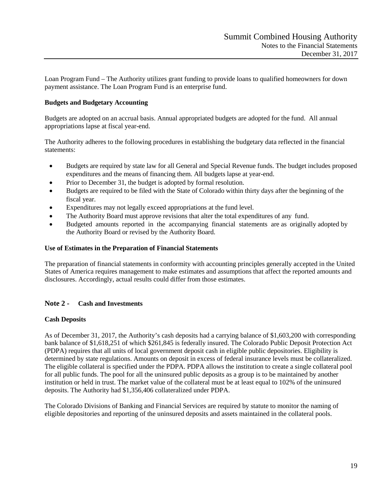Loan Program Fund – The Authority utilizes grant funding to provide loans to qualified homeowners for down payment assistance. The Loan Program Fund is an enterprise fund.

# **Budgets and Budgetary Accounting**

Budgets are adopted on an accrual basis. Annual appropriated budgets are adopted for the fund. All annual appropriations lapse at fiscal year-end.

The Authority adheres to the following procedures in establishing the budgetary data reflected in the financial statements:

- Budgets are required by state law for all General and Special Revenue funds. The budget includes proposed expenditures and the means of financing them. All budgets lapse at year-end.
- Prior to December 31, the budget is adopted by formal resolution.
- Budgets are required to be filed with the State of Colorado within thirty days after the beginning of the fiscal year.
- Expenditures may not legally exceed appropriations at the fund level.
- The Authority Board must approve revisions that alter the total expenditures of any fund.
- Budgeted amounts reported in the accompanying financial statements are as originally adopted by the Authority Board or revised by the Authority Board.

#### **Use of Estimates in the Preparation of Financial Statements**

The preparation of financial statements in conformity with accounting principles generally accepted in the United States of America requires management to make estimates and assumptions that affect the reported amounts and disclosures. Accordingly, actual results could differ from those estimates.

#### **Note 2 - Cash and Investments**

#### **Cash Deposits**

As of December 31, 2017, the Authority's cash deposits had a carrying balance of \$1,603,200 with corresponding bank balance of \$1,618,251 of which \$261,845 is federally insured. The Colorado Public Deposit Protection Act (PDPA) requires that all units of local government deposit cash in eligible public depositories. Eligibility is determined by state regulations. Amounts on deposit in excess of federal insurance levels must be collateralized. The eligible collateral is specified under the PDPA. PDPA allows the institution to create a single collateral pool for all public funds. The pool for all the uninsured public deposits as a group is to be maintained by another institution or held in trust. The market value of the collateral must be at least equal to 102% of the uninsured deposits. The Authority had \$1,356,406 collateralized under PDPA.

The Colorado Divisions of Banking and Financial Services are required by statute to monitor the naming of eligible depositories and reporting of the uninsured deposits and assets maintained in the collateral pools.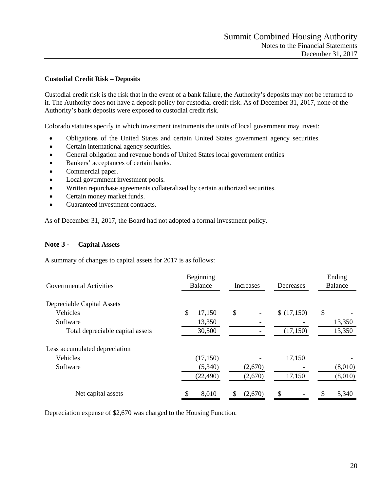# **Custodial Credit Risk – Deposits**

Custodial credit risk is the risk that in the event of a bank failure, the Authority's deposits may not be returned to it. The Authority does not have a deposit policy for custodial credit risk. As of December 31, 2017, none of the Authority's bank deposits were exposed to custodial credit risk.

Colorado statutes specify in which investment instruments the units of local government may invest:

- Obligations of the United States and certain United States government agency securities.
- Certain international agency securities.
- General obligation and revenue bonds of United States local government entities
- Bankers' acceptances of certain banks.
- Commercial paper.
- Local government investment pools.
- Written repurchase agreements collateralized by certain authorized securities.
- Certain money market funds.
- Guaranteed investment contracts.

As of December 31, 2017, the Board had not adopted a formal investment policy.

# **Note 3 - Capital Assets**

A summary of changes to capital assets for 2017 is as follows:

| <b>Governmental Activities</b>         | Beginning<br>Balance | Increases    | Decreases | Ending<br><b>Balance</b> |
|----------------------------------------|----------------------|--------------|-----------|--------------------------|
| Depreciable Capital Assets<br>Vehicles | \$<br>17,150         | \$           | (17,150)  | \$                       |
| Software                               | 13,350               |              |           | 13,350                   |
| Total depreciable capital assets       | 30,500               |              | (17, 150) | 13,350                   |
| Less accumulated depreciation          |                      |              |           |                          |
| Vehicles                               | (17, 150)            |              | 17,150    |                          |
| Software                               | (5,340)              | (2,670)      |           | (8,010)                  |
|                                        | (22, 490)            | (2,670)      | 17,150    | (8,010)                  |
| Net capital assets                     | \$<br>8,010          | (2,670)<br>S | \$        | 5,340<br>\$              |

Depreciation expense of \$2,670 was charged to the Housing Function.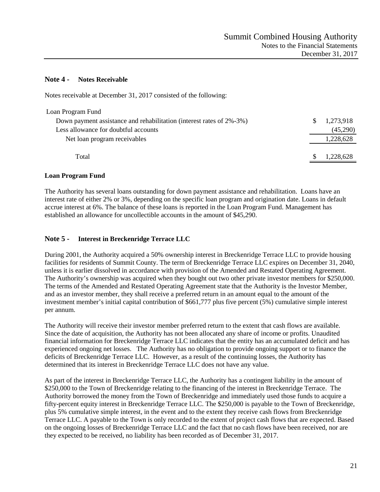# **Note 4 - Notes Receivable**

Notes receivable at December 31, 2017 consisted of the following:

| Loan Program Fund                                                    |           |
|----------------------------------------------------------------------|-----------|
| Down payment assistance and rehabilitation (interest rates of 2%-3%) | 1,273,918 |
| Less allowance for doubtful accounts                                 | (45,290)  |
| Net loan program receivables                                         | 1,228,628 |
| Total                                                                | 1,228,628 |
|                                                                      |           |

# **Loan Program Fund**

The Authority has several loans outstanding for down payment assistance and rehabilitation. Loans have an interest rate of either 2% or 3%, depending on the specific loan program and origination date. Loans in default accrue interest at 6%. The balance of these loans is reported in the Loan Program Fund. Management has established an allowance for uncollectible accounts in the amount of \$45,290.

# **Note 5 - Interest in Breckenridge Terrace LLC**

During 2001, the Authority acquired a 50% ownership interest in Breckenridge Terrace LLC to provide housing facilities for residents of Summit County. The term of Breckenridge Terrace LLC expires on December 31, 2040, unless it is earlier dissolved in accordance with provision of the Amended and Restated Operating Agreement. The Authority's ownership was acquired when they bought out two other private investor members for \$250,000. The terms of the Amended and Restated Operating Agreement state that the Authority is the Investor Member, and as an investor member, they shall receive a preferred return in an amount equal to the amount of the investment member's initial capital contribution of \$661,777 plus five percent (5%) cumulative simple interest per annum.

The Authority will receive their investor member preferred return to the extent that cash flows are available. Since the date of acquisition, the Authority has not been allocated any share of income or profits. Unaudited financial information for Breckenridge Terrace LLC indicates that the entity has an accumulated deficit and has experienced ongoing net losses. The Authority has no obligation to provide ongoing support or to finance the deficits of Breckenridge Terrace LLC. However, as a result of the continuing losses, the Authority has determined that its interest in Breckenridge Terrace LLC does not have any value.

As part of the interest in Breckenridge Terrace LLC, the Authority has a contingent liability in the amount of \$250,000 to the Town of Breckenridge relating to the financing of the interest in Breckenridge Terrace. The Authority borrowed the money from the Town of Breckenridge and immediately used those funds to acquire a fifty-percent equity interest in Breckenridge Terrace LLC. The \$250,000 is payable to the Town of Breckenridge, plus 5% cumulative simple interest, in the event and to the extent they receive cash flows from Breckenridge Terrace LLC. A payable to the Town is only recorded to the extent of project cash flows that are expected. Based on the ongoing losses of Breckenridge Terrace LLC and the fact that no cash flows have been received, nor are they expected to be received, no liability has been recorded as of December 31, 2017.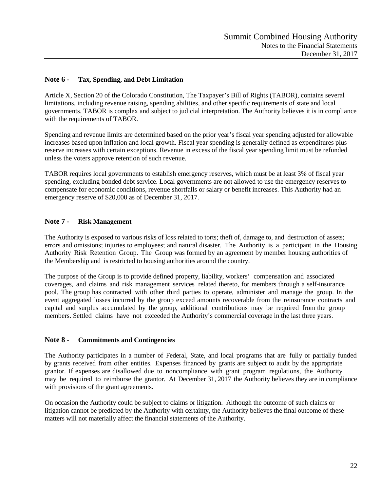# **Note 6 - Tax, Spending, and Debt Limitation**

Article X, Section 20 of the Colorado Constitution, The Taxpayer's Bill of Rights (TABOR), contains several limitations, including revenue raising, spending abilities, and other specific requirements of state and local governments. TABOR is complex and subject to judicial interpretation. The Authority believes it is in compliance with the requirements of TABOR.

Spending and revenue limits are determined based on the prior year's fiscal year spending adjusted for allowable increases based upon inflation and local growth. Fiscal year spending is generally defined as expenditures plus reserve increases with certain exceptions. Revenue in excess of the fiscal year spending limit must be refunded unless the voters approve retention of such revenue.

TABOR requires local governments to establish emergency reserves, which must be at least 3% of fiscal year spending, excluding bonded debt service. Local governments are not allowed to use the emergency reserves to compensate for economic conditions, revenue shortfalls or salary or benefit increases. This Authority had an emergency reserve of \$20,000 as of December 31, 2017.

# **Note 7 - Risk Management**

The Authority is exposed to various risks of loss related to torts; theft of, damage to, and destruction of assets; errors and omissions; injuries to employees; and natural disaster. The Authority is a participant in the Housing Authority Risk Retention Group. The Group was formed by an agreement by member housing authorities of the Membership and is restricted to housing authorities around the country.

The purpose of the Group is to provide defined property, liability, workers' compensation and associated coverages, and claims and risk management services related thereto, for members through a self-insurance pool. The group has contracted with other third parties to operate, administer and manage the group. In the event aggregated losses incurred by the group exceed amounts recoverable from the reinsurance contracts and capital and surplus accumulated by the group, additional contributions may be required from the group members. Settled claims have not exceeded the Authority's commercial coverage in the last three years.

#### **Note 8 - Commitments and Contingencies**

The Authority participates in a number of Federal, State, and local programs that are fully or partially funded by grants received from other entities. Expenses financed by grants are subject to audit by the appropriate grantor. If expenses are disallowed due to noncompliance with grant program regulations, the Authority may be required to reimburse the grantor. At December 31, 2017 the Authority believes they are in compliance with provisions of the grant agreements.

On occasion the Authority could be subject to claims or litigation. Although the outcome of such claims or litigation cannot be predicted by the Authority with certainty, the Authority believes the final outcome of these matters will not materially affect the financial statements of the Authority.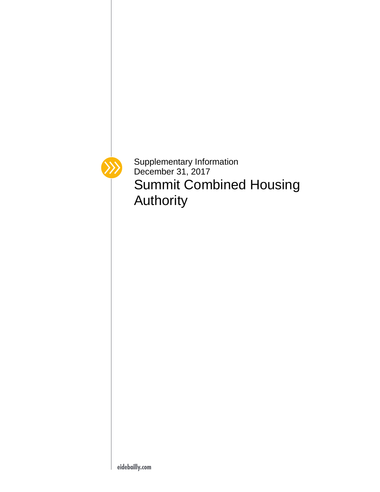

Supplementary Information December 31, 2017 Summit Combined Housing Authority